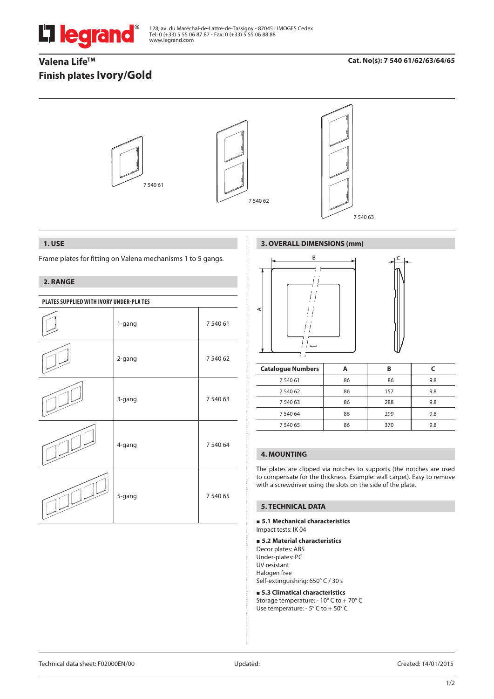

128, av. du Maréchal-de-Lattre-de-Tassigny - 87045 LIMOGES Cedex Tel: 0 (+33) 5 55 06 87 87 - Fax: 0 (+33) 5 55 06 88 88 www.legrand.com

# Valena Life<sup>™</sup> **Finish plates Ivory/Gold**

# **Cat. No(s): 7 540 61/62/63/64/65**



# **1. USE**

Frame plates for fitting on Valena mechanisms 1 to 5 gangs.

# **2. RANGE**

| PLATES SUPPLIED WITH IVORY UNDER-PLATES |        |          |  |
|-----------------------------------------|--------|----------|--|
|                                         | 1-gang | 7 540 61 |  |
|                                         | 2-gang | 7 540 62 |  |
|                                         | 3-gang | 7 540 63 |  |
|                                         | 4-gang | 7 540 64 |  |
|                                         | 5-gang | 7 540 65 |  |

# **3. OVERALL DIMENSIONS (mm)**



| <b>Catalogue Numbers</b> |    | в   |     |
|--------------------------|----|-----|-----|
| 7 540 61                 | 86 | 86  | 9.8 |
| 7 540 62                 | 86 | 157 | 9.8 |
| 7 540 63                 | 86 | 288 | 9.8 |
| 7 540 64                 | 86 | 299 | 9.8 |
| 7 540 65                 | 86 | 370 | 9.8 |

# **4. MOUNTING**

The plates are clipped via notches to supports (the notches are used to compensate for the thickness. Example: wall carpet). Easy to remove with a screwdriver using the slots on the side of the plate.

# **5. TECHNICAL DATA**

**5.1 Mechanical characteristics**

Impact tests: IK 04

#### **5.2 Material characteristics**

Decor plates: ABS Under-plates: PC UV resistant Halogen free Self-extinguishing: 650° C / 30 s

#### **5.3 Climatical characteristics**

Storage temperature: - 10° C to + 70° C Use temperature: - 5° C to + 50° C